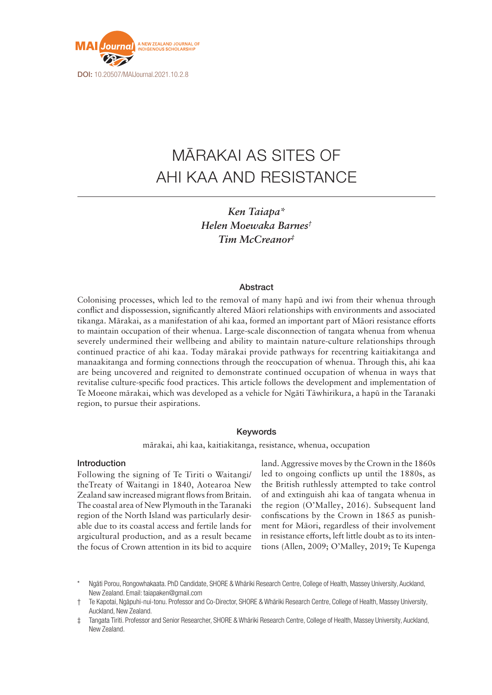

# MĀRAKAI AS SITES OF AHI KAA AND RESISTANCE

*Ken Taiapa\* Helen Moewaka Barnes† Tim McCreanor‡*

# **Abstract**

Colonising processes, which led to the removal of many hapū and iwi from their whenua through conflict and dispossession, significantly altered Māori relationships with environments and associated tikanga. Mārakai, as a manifestation of ahi kaa, formed an important part of Māori resistance efforts to maintain occupation of their whenua. Large-scale disconnection of tangata whenua from whenua severely undermined their wellbeing and ability to maintain nature-culture relationships through continued practice of ahi kaa. Today mārakai provide pathways for recentring kaitiakitanga and manaakitanga and forming connections through the reoccupation of whenua. Through this, ahi kaa are being uncovered and reignited to demonstrate continued occupation of whenua in ways that revitalise culture-specific food practices. This article follows the development and implementation of Te Moeone mārakai, which was developed as a vehicle for Ngāti Tāwhirikura, a hapū in the Taranaki region, to pursue their aspirations.

# Keywords

mārakai, ahi kaa, kaitiakitanga, resistance, whenua, occupation

#### Introduction

Following the signing of Te Tiriti o Waitangi/ theTreaty of Waitangi in 1840, Aotearoa New Zealand saw increased migrant flows from Britain. The coastal area of New Plymouth in the Taranaki region of the North Island was particularly desirable due to its coastal access and fertile lands for argicultural production, and as a result became the focus of Crown attention in its bid to acquire land. Aggressive moves by the Crown in the 1860s led to ongoing conflicts up until the 1880s, as the British ruthlessly attempted to take control of and extinguish ahi kaa of tangata whenua in the region (O'Malley, 2016). Subsequent land confiscations by the Crown in 1865 as punishment for Māori, regardless of their involvement in resistance efforts, left little doubt as to its intentions (Allen, 2009; O'Malley, 2019; Te Kupenga

Ngāti Porou, Rongowhakaata. PhD Candidate, SHORE & Whāriki Research Centre, College of Health, Massey University, Auckland, New Zealand. Email: [taiapaken@gmail.com](mailto:taiapaken@gmail.com)

<sup>†</sup> Te Kapotai, Ngāpuhi-nui-tonu. Professor and Co-Director, SHORE & Whāriki Research Centre, College of Health, Massey University, Auckland, New Zealand.

<sup>‡</sup> Tangata Tiriti. Professor and Senior Researcher, SHORE & Whāriki Research Centre, College of Health, Massey University, Auckland, New Zealand.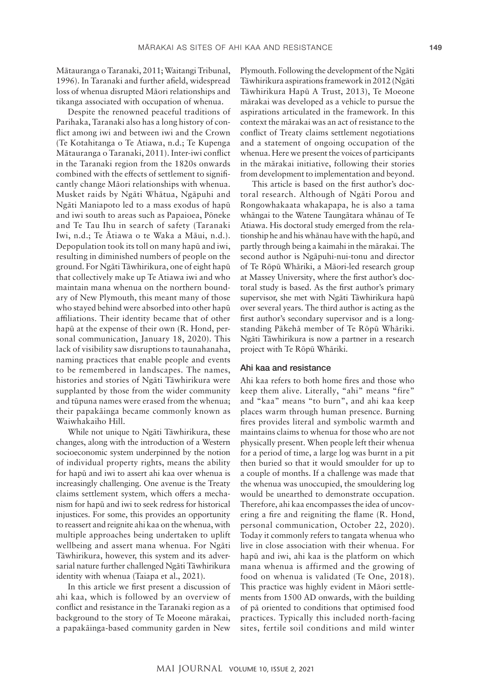Mātauranga o Taranaki, 2011; Waitangi Tribunal, 1996). In Taranaki and further afield, widespread loss of whenua disrupted Māori relationships and tikanga associated with occupation of whenua.

Despite the renowned peaceful traditions of Parihaka, Taranaki also has a long history of conflict among iwi and between iwi and the Crown (Te Kotahitanga o Te Atiawa, n.d.; Te Kupenga Mātauranga o Taranaki, 2011). Inter-iwi conflict in the Taranaki region from the 1820s onwards combined with the effects of settlement to significantly change Māori relationships with whenua. Musket raids by Ngāti Whātua, Ngāpuhi and Ngāti Maniapoto led to a mass exodus of hapū and iwi south to areas such as Papaioea, Pōneke and Te Tau Ihu in search of safety (Taranaki Iwi, n.d.; Te Ātiawa o te Waka a Māui, n.d.). Depopulation took its toll on many hapū and iwi, resulting in diminished numbers of people on the ground. For Ngāti Tāwhirikura, one of eight hapū that collectively make up Te Atiawa iwi and who maintain mana whenua on the northern boundary of New Plymouth, this meant many of those who stayed behind were absorbed into other hapū affiliations. Their identity became that of other hapū at the expense of their own (R. Hond, personal communication, January 18, 2020). This lack of visibility saw disruptions to taunahanaha, naming practices that enable people and events to be remembered in landscapes. The names, histories and stories of Ngāti Tāwhirikura were supplanted by those from the wider community and tūpuna names were erased from the whenua; their papakāinga became commonly known as Waiwhakaiho Hill.

While not unique to Ngāti Tāwhirikura, these changes, along with the introduction of a Western socioeconomic system underpinned by the notion of individual property rights, means the ability for hapū and iwi to assert ahi kaa over whenua is increasingly challenging. One avenue is the Treaty claims settlement system, which offers a mechanism for hapū and iwi to seek redress for historical injustices. For some, this provides an opportunity to reassert and reignite ahi kaa on the whenua, with multiple approaches being undertaken to uplift wellbeing and assert mana whenua. For Ngāti Tāwhirikura, however, this system and its adversarial nature further challenged Ngāti Tāwhirikura identity with whenua (Taiapa et al., 2021).

In this article we first present a discussion of ahi kaa, which is followed by an overview of conflict and resistance in the Taranaki region as a background to the story of Te Moeone mārakai, a papakāinga-based community garden in New Plymouth. Following the development of the Ngāti Tāwhirikura aspirations framework in 2012 (Ngāti Tāwhirikura Hapū A Trust, 2013), Te Moeone mārakai was developed as a vehicle to pursue the aspirations articulated in the framework. In this context the mārakai was an act of resistance to the conflict of Treaty claims settlement negotiations and a statement of ongoing occupation of the whenua. Here we present the voices of participants in the mārakai initiative, following their stories from development to implementation and beyond.

This article is based on the first author's doctoral research. Although of Ngāti Porou and Rongowhakaata whakapapa, he is also a tama whāngai to the Watene Taungātara whānau of Te Atiawa. His doctoral study emerged from the relationship he and his whānau have with the hapū, and partly through being a kaimahi in the mārakai. The second author is Ngāpuhi-nui-tonu and director of Te Rōpū Whāriki, a Māori-led research group at Massey University, where the first author's doctoral study is based. As the first author's primary supervisor, she met with Ngāti Tāwhirikura hapū over several years. The third author is acting as the first author's secondary supervisor and is a longstanding Pākehā member of Te Rōpū Whāriki. Ngāti Tāwhirikura is now a partner in a research project with Te Rōpū Whāriki.

## Ahi kaa and resistance

Ahi kaa refers to both home fires and those who keep them alive. Literally, "ahi" means "fire" and "kaa" means "to burn", and ahi kaa keep places warm through human presence. Burning fires provides literal and symbolic warmth and maintains claims to whenua for those who are not physically present. When people left their whenua for a period of time, a large log was burnt in a pit then buried so that it would smoulder for up to a couple of months. If a challenge was made that the whenua was unoccupied, the smouldering log would be unearthed to demonstrate occupation. Therefore, ahi kaa encompasses the idea of uncovering a fire and reigniting the flame (R. Hond, personal communication, October 22, 2020). Today it commonly refers to tangata whenua who live in close association with their whenua. For hapū and iwi, ahi kaa is the platform on which mana whenua is affirmed and the growing of food on whenua is validated (Te One, 2018). This practice was highly evident in Māori settlements from 1500 AD onwards, with the building of pā oriented to conditions that optimised food practices. Typically this included north-facing sites, fertile soil conditions and mild winter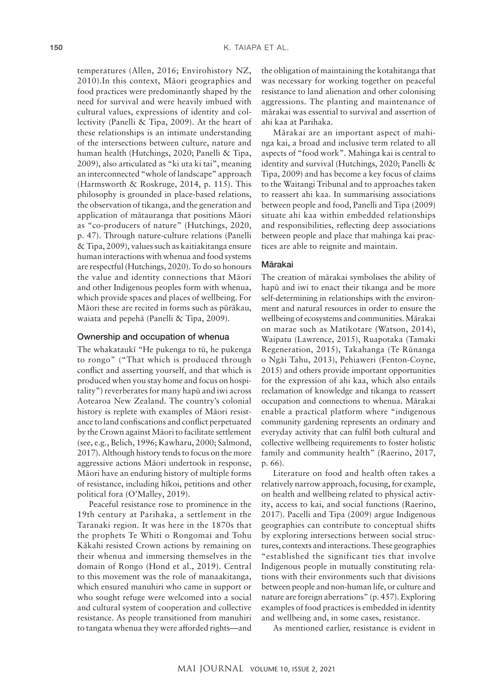temperatures (Allen, 2016; Envirohistory NZ, 2010).In this context, Māori geographies and food practices were predominantly shaped by the need for survival and were heavily imbued with cultural values, expressions of identity and collectivity (Panelli & Tipa, 2009). At the heart of these relationships is an intimate understanding of the intersections between culture, nature and human health (Hutchings, 2020; Panelli & Tipa, 2009), also articulated as "ki uta ki tai", meaning an interconnected "whole of landscape" approach (Harmsworth & Roskruge, 2014, p. 115). This philosophy is grounded in place-based relations, the observation of tikanga, and the generation and application of mātauranga that positions Māori as "co-producers of nature" (Hutchings, 2020, p. 47). Through nature-culture relations (Panelli & Tipa, 2009), values such as kaitiakitanga ensure human interactions with whenua and food systems are respectful (Hutchings, 2020). To do so honours the value and identity connections that Māori and other Indigenous peoples form with whenua, which provide spaces and places of wellbeing. For Māori these are recited in forms such as pūrākau, waiata and pepehā (Panelli & Tipa, 2009).

#### Ownership and occupation of whenua

The whakataukī "He pukenga to tū, he pukenga to rongo" ("That which is produced through conflict and asserting yourself, and that which is produced when you stay home and focus on hospitality") reverberates for many hapū and iwi across Aotearoa New Zealand. The country's colonial history is replete with examples of Māori resistance to land confiscations and conflict perpetuated by the Crown against Māori to facilitate settlement (see, e.g., Belich, 1996; Kawharu, 2000; Salmond, 2017). Although history tends to focus on the more aggressive actions Māori undertook in response, Māori have an enduring history of multiple forms of resistance, including hīkoi, petitions and other political fora (O'Malley, 2019).

Peaceful resistance rose to prominence in the 19th century at Parihaka, a settlement in the Taranaki region. It was here in the 1870s that the prophets Te Whiti o Rongomai and Tohu Kākahi resisted Crown actions by remaining on their whenua and immersing themselves in the domain of Rongo (Hond et al., 2019). Central to this movement was the role of manaakitanga, which ensured manuhiri who came in support or who sought refuge were welcomed into a social and cultural system of cooperation and collective resistance. As people transitioned from manuhiri to tangata whenua they were afforded rights—and

the obligation of maintaining the kotahitanga that was necessary for working together on peaceful resistance to land alienation and other colonising aggressions. The planting and maintenance of mārakai was essential to survival and assertion of ahi kaa at Parihaka.

Mārakai are an important aspect of mahinga kai, a broad and inclusive term related to all aspects of "food work". Mahinga kai is central to identity and survival (Hutchings, 2020; Panelli & Tipa, 2009) and has become a key focus of claims to the Waitangi Tribunal and to approaches taken to reassert ahi kaa. In summarising associations between people and food, Panelli and Tipa (2009) situate ahi kaa within embedded relationships and responsibilities, reflecting deep associations between people and place that mahinga kai practices are able to reignite and maintain.

## Mārakai

The creation of mārakai symbolises the ability of hapū and iwi to enact their tikanga and be more self-determining in relationships with the environment and natural resources in order to ensure the wellbeing of ecosystems and communities. Mārakai on marae such as Matikotare (Watson, 2014), Waipatu (Lawrence, 2015), Ruapotaka (Tamaki Regeneration, 2015), Takahanga (Te Rūnanga o Ngāi Tahu, 2013), Pehiaweri (Fenton-Coyne, 2015) and others provide important opportunities for the expression of ahi kaa, which also entails reclamation of knowledge and tikanga to reassert occupation and connections to whenua. Mārakai enable a practical platform where "indigenous community gardening represents an ordinary and everyday activity that can fulfil both cultural and collective wellbeing requirements to foster holistic family and community health" (Raerino, 2017, p. 66).

Literature on food and health often takes a relatively narrow approach, focusing, for example, on health and wellbeing related to physical activity, access to kai, and social functions (Raerino, 2017). Pacelli and Tipa (2009) argue Indigenous geographies can contribute to conceptual shifts by exploring intersections between social structures, contexts and interactions. These geographies "established the significant ties that involve Indigenous people in mutually constituting relations with their environments such that divisions between people and non-human life, or culture and nature are foreign aberrations" (p. 457). Exploring examples of food practices is embedded in identity and wellbeing and, in some cases, resistance.

As mentioned earlier, resistance is evident in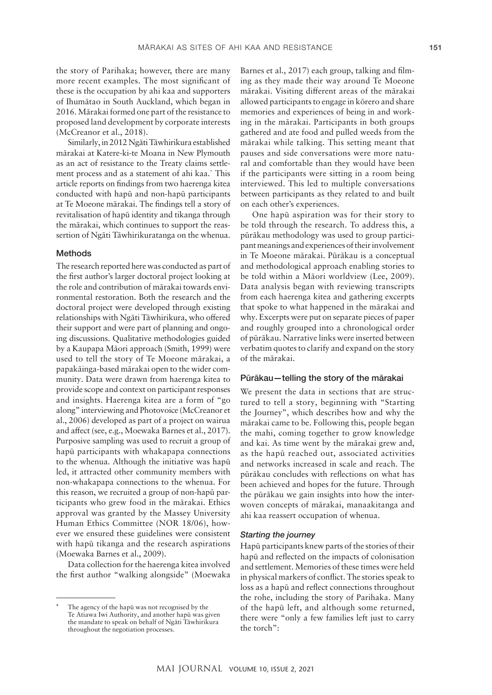the story of Parihaka; however, there are many more recent examples. The most significant of these is the occupation by ahi kaa and supporters of Ihumātao in South Auckland, which began in 2016. Mārakai formed one part of the resistance to proposed land development by corporate interests (McCreanor et al., 2018).

Similarly, in 2012 Ngāti Tāwhirikura established mārakai at Katere-ki-te Moana in New Plymouth as an act of resistance to the Treaty claims settlement process and as a statement of ahi kaa.\* This article reports on findings from two haerenga kitea conducted with hapū and non-hapū participants at Te Moeone mārakai. The findings tell a story of revitalisation of hapū identity and tikanga through the mārakai, which continues to support the reassertion of Ngāti Tāwhirikuratanga on the whenua.

## Methods

The research reported here was conducted as part of the first author's larger doctoral project looking at the role and contribution of mārakai towards environmental restoration. Both the research and the doctoral project were developed through existing relationships with Ngāti Tāwhirikura, who offered their support and were part of planning and ongoing discussions. Qualitative methodologies guided by a Kaupapa Māori approach (Smith, 1999) were used to tell the story of Te Moeone mārakai, a papakāinga-based mārakai open to the wider community. Data were drawn from haerenga kitea to provide scope and context on participant responses and insights. Haerenga kitea are a form of "go along" interviewing and Photovoice (McCreanor et al., 2006) developed as part of a project on wairua and affect (see, e.g., Moewaka Barnes et al., 2017). Purposive sampling was used to recruit a group of hapū participants with whakapapa connections to the whenua. Although the initiative was hapū led, it attracted other community members with non-whakapapa connections to the whenua. For this reason, we recruited a group of non-hapū participants who grew food in the mārakai. Ethics approval was granted by the Massey University Human Ethics Committee (NOR 18/06), however we ensured these guidelines were consistent with hapū tikanga and the research aspirations (Moewaka Barnes et al., 2009).

Data collection for the haerenga kitea involved the first author "walking alongside" (Moewaka

The agency of the hapū was not recognised by the Te Atiawa Iwi Authority, and another hapū was given the mandate to speak on behalf of Ngāti Tāwhirikura throughout the negotiation processes.

Barnes et al., 2017) each group, talking and filming as they made their way around Te Moeone mārakai. Visiting different areas of the mārakai allowed participants to engage in kōrero and share memories and experiences of being in and working in the mārakai. Participants in both groups gathered and ate food and pulled weeds from the mārakai while talking. This setting meant that pauses and side conversations were more natural and comfortable than they would have been if the participants were sitting in a room being interviewed. This led to multiple conversations between participants as they related to and built on each other's experiences.

One hapū aspiration was for their story to be told through the research. To address this, a pūrākau methodology was used to group participant meanings and experiences of their involvement in Te Moeone mārakai. Pūrākau is a conceptual and methodological approach enabling stories to be told within a Māori worldview (Lee, 2009). Data analysis began with reviewing transcripts from each haerenga kitea and gathering excerpts that spoke to what happened in the mārakai and why. Excerpts were put on separate pieces of paper and roughly grouped into a chronological order of pūrākau. Narrative links were inserted between verbatim quotes to clarify and expand on the story of the mārakai.

## Pūrākau—telling the story of the mārakai

We present the data in sections that are structured to tell a story, beginning with "Starting the Journey", which describes how and why the mārakai came to be. Following this, people began the mahi, coming together to grow knowledge and kai. As time went by the mārakai grew and, as the hapū reached out, associated activities and networks increased in scale and reach. The pūrākau concludes with reflections on what has been achieved and hopes for the future. Through the pūrākau we gain insights into how the interwoven concepts of mārakai, manaakitanga and ahi kaa reassert occupation of whenua.

#### *Starting the journey*

Hapū participants knew parts of the stories of their hapū and reflected on the impacts of colonisation and settlement. Memories of these times were held in physical markers of conflict. The stories speak to loss as a hapū and reflect connections throughout the rohe, including the story of Parihaka. Many of the hapū left, and although some returned, there were "only a few families left just to carry the torch":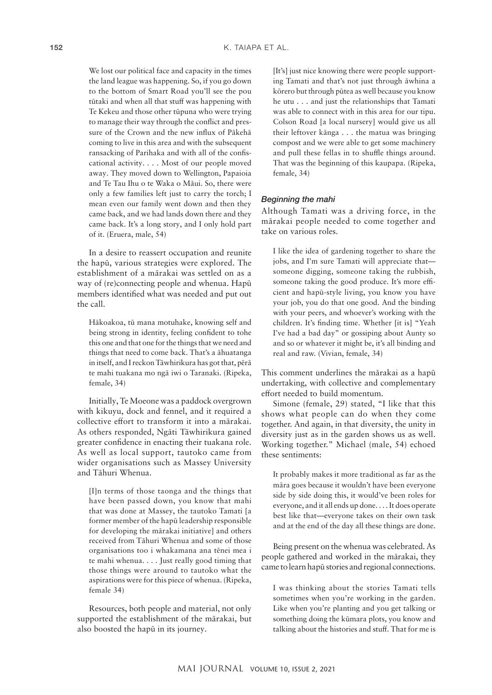We lost our political face and capacity in the times the land league was happening. So, if you go down to the bottom of Smart Road you'll see the pou tūtaki and when all that stuff was happening with Te Kekeu and those other tūpuna who were trying to manage their way through the conflict and pressure of the Crown and the new influx of Pākehā coming to live in this area and with the subsequent ransacking of Parihaka and with all of the confiscational activity. . . . Most of our people moved away. They moved down to Wellington, Papaioia and Te Tau Ihu o te Waka o Māui. So, there were only a few families left just to carry the torch; I mean even our family went down and then they came back, and we had lands down there and they came back. It's a long story, and I only hold part of it. (Eruera, male, 54)

In a desire to reassert occupation and reunite the hapū, various strategies were explored. The establishment of a mārakai was settled on as a way of (re)connecting people and whenua. Hapū members identified what was needed and put out the call.

Hākoakoa, tū mana motuhake, knowing self and being strong in identity, feeling confident to tohe this one and that one for the things that we need and things that need to come back. That's a āhuatanga in itself, and I reckon Tāwhirikura has got that, pērā te mahi tuakana mo ngā iwi o Taranaki. (Ripeka, female, 34)

Initially, Te Moeone was a paddock overgrown with kikuyu, dock and fennel, and it required a collective effort to transform it into a mārakai. As others responded, Ngāti Tāwhirikura gained greater confidence in enacting their tuakana role. As well as local support, tautoko came from wider organisations such as Massey University and Tāhuri Whenua.

[I]n terms of those taonga and the things that have been passed down, you know that mahi that was done at Massey, the tautoko Tamati [a former member of the hapū leadership responsible for developing the mārakai initiative] and others received from Tāhuri Whenua and some of those organisations too i whakamana ana tēnei mea i te mahi whenua. . . . Just really good timing that those things were around to tautoko what the aspirations were for this piece of whenua. (Ripeka, female 34)

Resources, both people and material, not only supported the establishment of the mārakai, but also boosted the hapū in its journey.

[It's] just nice knowing there were people supporting Tamati and that's not just through āwhina a kōrero but through pūtea as well because you know he utu . . . and just the relationships that Tamati was able to connect with in this area for our tipu. Colson Road [a local nursery] would give us all their leftover kānga . . . the matua was bringing compost and we were able to get some machinery and pull these fellas in to shuffle things around. That was the beginning of this kaupapa. (Ripeka, female, 34)

#### *Beginning the mahi*

Although Tamati was a driving force, in the mārakai people needed to come together and take on various roles.

I like the idea of gardening together to share the jobs, and I'm sure Tamati will appreciate that someone digging, someone taking the rubbish, someone taking the good produce. It's more efficient and hapū-style living, you know you have your job, you do that one good. And the binding with your peers, and whoever's working with the children. It's finding time. Whether [it is] "Yeah I've had a bad day" or gossiping about Aunty so and so or whatever it might be, it's all binding and real and raw. (Vivian, female, 34)

This comment underlines the mārakai as a hapū undertaking, with collective and complementary effort needed to build momentum.

Simone (female, 29) stated, "I like that this shows what people can do when they come together. And again, in that diversity, the unity in diversity just as in the garden shows us as well. Working together." Michael (male, 54) echoed these sentiments:

It probably makes it more traditional as far as the māra goes because it wouldn't have been everyone side by side doing this, it would've been roles for everyone, and it all ends up done. . . . It does operate best like that—everyone takes on their own task and at the end of the day all these things are done.

Being present on the whenua was celebrated. As people gathered and worked in the mārakai, they came to learn hapū stories and regional connections.

I was thinking about the stories Tamati tells sometimes when you're working in the garden. Like when you're planting and you get talking or something doing the kūmara plots, you know and talking about the histories and stuff. That for me is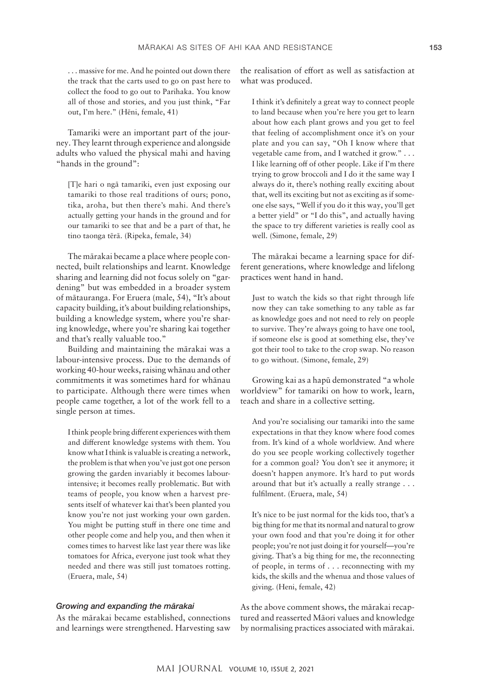. . . massive for me. And he pointed out down there the track that the carts used to go on past here to collect the food to go out to Parihaka. You know all of those and stories, and you just think, "Far out, I'm here." (Hēni, female, 41)

Tamariki were an important part of the journey. They learnt through experience and alongside adults who valued the physical mahi and having "hands in the ground":

[T]e hari o ngā tamariki, even just exposing our tamariki to those real traditions of ours; pono, tika, aroha, but then there's mahi. And there's actually getting your hands in the ground and for our tamariki to see that and be a part of that, he tino taonga tērā. (Ripeka, female, 34)

The mārakai became a place where people connected, built relationships and learnt. Knowledge sharing and learning did not focus solely on "gardening" but was embedded in a broader system of mātauranga. For Eruera (male, 54), "It's about capacity building, it's about building relationships, building a knowledge system, where you're sharing knowledge, where you're sharing kai together and that's really valuable too."

Building and maintaining the mārakai was a labour-intensive process. Due to the demands of working 40-hour weeks, raising whānau and other commitments it was sometimes hard for whānau to participate. Although there were times when people came together, a lot of the work fell to a single person at times.

I think people bring different experiences with them and different knowledge systems with them. You know what I think is valuable is creating a network, the problem is that when you've just got one person growing the garden invariably it becomes labourintensive; it becomes really problematic. But with teams of people, you know when a harvest presents itself of whatever kai that's been planted you know you're not just working your own garden. You might be putting stuff in there one time and other people come and help you, and then when it comes times to harvest like last year there was like tomatoes for Africa, everyone just took what they needed and there was still just tomatoes rotting. (Eruera, male, 54)

#### *Growing and expanding the mārakai*

As the mārakai became established, connections and learnings were strengthened. Harvesting saw the realisation of effort as well as satisfaction at what was produced.

I think it's definitely a great way to connect people to land because when you're here you get to learn about how each plant grows and you get to feel that feeling of accomplishment once it's on your plate and you can say, "Oh I know where that vegetable came from, and I watched it grow." . . . I like learning off of other people. Like if I'm there trying to grow broccoli and I do it the same way I always do it, there's nothing really exciting about that, well its exciting but not as exciting as if someone else says, "Well if you do it this way, you'll get a better yield" or "I do this", and actually having the space to try different varieties is really cool as well. (Simone, female, 29)

The mārakai became a learning space for different generations, where knowledge and lifelong practices went hand in hand.

Just to watch the kids so that right through life now they can take something to any table as far as knowledge goes and not need to rely on people to survive. They're always going to have one tool, if someone else is good at something else, they've got their tool to take to the crop swap. No reason to go without. (Simone, female, 29)

Growing kai as a hapū demonstrated "a whole worldview" for tamariki on how to work, learn, teach and share in a collective setting.

And you're socialising our tamariki into the same expectations in that they know where food comes from. It's kind of a whole worldview. And where do you see people working collectively together for a common goal? You don't see it anymore; it doesn't happen anymore. It's hard to put words around that but it's actually a really strange . . . fulfilment. (Eruera, male, 54)

It's nice to be just normal for the kids too, that's a big thing for me that its normal and natural to grow your own food and that you're doing it for other people; you're not just doing it for yourself—you're giving. That's a big thing for me, the reconnecting of people, in terms of . . . reconnecting with my kids, the skills and the whenua and those values of giving. (Heni, female, 42)

As the above comment shows, the mārakai recaptured and reasserted Māori values and knowledge by normalising practices associated with mārakai.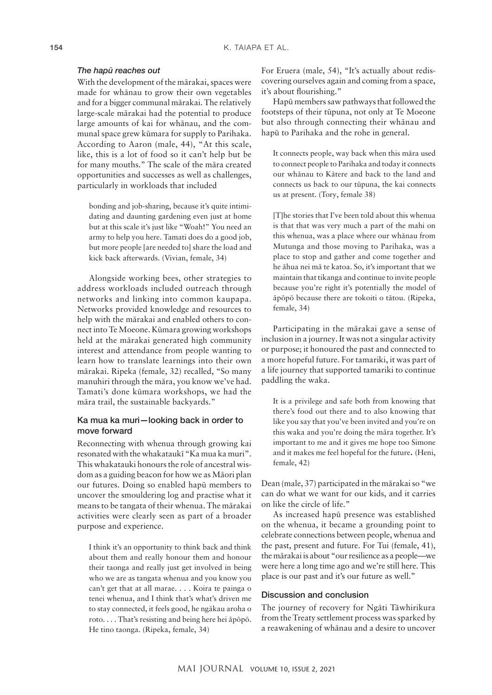#### *The hapū reaches out*

With the development of the mārakai, spaces were made for whānau to grow their own vegetables and for a bigger communal mārakai. The relatively large-scale mārakai had the potential to produce large amounts of kai for whānau, and the communal space grew kūmara for supply to Parihaka. According to Aaron (male, 44), "At this scale, like, this is a lot of food so it can't help but be for many mouths." The scale of the māra created opportunities and successes as well as challenges, particularly in workloads that included

bonding and job-sharing, because it's quite intimidating and daunting gardening even just at home but at this scale it's just like "Woah!" You need an army to help you here. Tamati does do a good job, but more people [are needed to] share the load and kick back afterwards. (Vivian, female, 34)

Alongside working bees, other strategies to address workloads included outreach through networks and linking into common kaupapa. Networks provided knowledge and resources to help with the mārakai and enabled others to connect into Te Moeone. Kūmara growing workshops held at the mārakai generated high community interest and attendance from people wanting to learn how to translate learnings into their own mārakai. Ripeka (female, 32) recalled, "So many manuhiri through the māra, you know we've had. Tamati's done kūmara workshops, we had the māra trail, the sustainable backyards."

# Ka mua ka muri—looking back in order to move forward

Reconnecting with whenua through growing kai resonated with the whakataukī "Ka mua ka muri". This whakatauki honours the role of ancestral wisdom as a guiding beacon for how we as Māori plan our futures. Doing so enabled hapū members to uncover the smouldering log and practise what it means to be tangata of their whenua. The mārakai activities were clearly seen as part of a broader purpose and experience.

I think it's an opportunity to think back and think about them and really honour them and honour their taonga and really just get involved in being who we are as tangata whenua and you know you can't get that at all marae. . . . Koira te painga o tenei whenua, and I think that's what's driven me to stay connected, it feels good, he ngākau aroha o roto. . . . That's resisting and being here hei āpōpō. He tino taonga. (Ripeka, female, 34)

For Eruera (male, 54), "It's actually about rediscovering ourselves again and coming from a space, it's about flourishing."

Hapū members saw pathways that followed the footsteps of their tūpuna, not only at Te Moeone but also through connecting their whānau and hapū to Parihaka and the rohe in general.

It connects people, way back when this māra used to connect people to Parihaka and today it connects our whānau to Kātere and back to the land and connects us back to our tūpuna, the kai connects us at present. (Tory, female 38)

[T]he stories that I've been told about this whenua is that that was very much a part of the mahi on this whenua, was a place where our whānau from Mutunga and those moving to Parihaka, was a place to stop and gather and come together and he āhua nei mā te katoa. So, it's important that we maintain that tikanga and continue to invite people because you're right it's potentially the model of āpōpō because there are tokoiti o tātou. (Ripeka, female, 34)

Participating in the mārakai gave a sense of inclusion in a journey. It was not a singular activity or purpose; it honoured the past and connected to a more hopeful future. For tamariki, it was part of a life journey that supported tamariki to continue paddling the waka.

It is a privilege and safe both from knowing that there's food out there and to also knowing that like you say that you've been invited and you're on this waka and you're doing the māra together. It's important to me and it gives me hope too Simone and it makes me feel hopeful for the future*.* (Heni, female, 42)

Dean (male, 37) participated in the mārakai so "we can do what we want for our kids, and it carries on like the circle of life."

As increased hapū presence was established on the whenua, it became a grounding point to celebrate connections between people, whenua and the past, present and future. For Tui (female, 41), the mārakai is about "our resilience as a people—we were here a long time ago and we're still here. This place is our past and it's our future as well."

#### Discussion and conclusion

The journey of recovery for Ngāti Tāwhirikura from the Treaty settlement process was sparked by a reawakening of whānau and a desire to uncover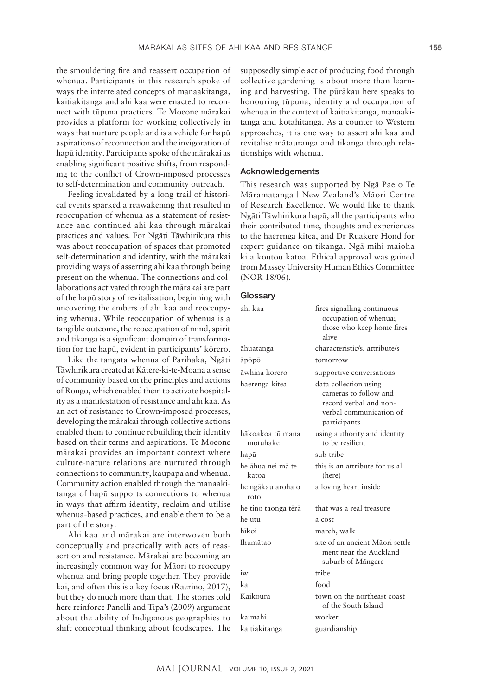the smouldering fire and reassert occupation of whenua. Participants in this research spoke of ways the interrelated concepts of manaakitanga, kaitiakitanga and ahi kaa were enacted to reconnect with tūpuna practices. Te Moeone mārakai provides a platform for working collectively in ways that nurture people and is a vehicle for hapū aspirations of reconnection and the invigoration of hapū identity. Participants spoke of the mārakai as enabling significant positive shifts, from responding to the conflict of Crown-imposed processes to self-determination and community outreach.

Feeling invalidated by a long trail of historical events sparked a reawakening that resulted in reoccupation of whenua as a statement of resistance and continued ahi kaa through mārakai practices and values. For Ngāti Tāwhirikura this was about reoccupation of spaces that promoted self-determination and identity, with the mārakai providing ways of asserting ahi kaa through being present on the whenua. The connections and collaborations activated through the mārakai are part of the hapū story of revitalisation, beginning with uncovering the embers of ahi kaa and reoccupying whenua. While reoccupation of whenua is a tangible outcome, the reoccupation of mind, spirit and tikanga is a significant domain of transformation for the hapū, evident in participants' kōrero.

Like the tangata whenua of Parihaka, Ngāti Tāwhirikura created at Kātere-ki-te-Moana a sense of community based on the principles and actions of Rongo, which enabled them to activate hospitality as a manifestation of resistance and ahi kaa. As an act of resistance to Crown-imposed processes, developing the mārakai through collective actions enabled them to continue rebuilding their identity based on their terms and aspirations. Te Moeone mārakai provides an important context where culture-nature relations are nurtured through connections to community, kaupapa and whenua. Community action enabled through the manaakitanga of hapū supports connections to whenua in ways that affirm identity, reclaim and utilise whenua-based practices, and enable them to be a part of the story.

Ahi kaa and mārakai are interwoven both conceptually and practically with acts of reassertion and resistance. Mārakai are becoming an increasingly common way for Māori to reoccupy whenua and bring people together. They provide kai, and often this is a key focus (Raerino, 2017), but they do much more than that. The stories told here reinforce Panelli and Tipa's (2009) argument about the ability of Indigenous geographies to shift conceptual thinking about foodscapes. The supposedly simple act of producing food through collective gardening is about more than learning and harvesting. The pūrākau here speaks to honouring tūpuna, identity and occupation of whenua in the context of kaitiakitanga, manaakitanga and kotahitanga. As a counter to Western approaches, it is one way to assert ahi kaa and revitalise mātauranga and tikanga through relationships with whenua.

# Acknowledgements

This research was supported by Ngā Pae o Te Māramatanga | New Zealand's Māori Centre of Research Excellence. We would like to thank Ngāti Tāwhirikura hapū, all the participants who their contributed time, thoughts and experiences to the haerenga kitea, and Dr Ruakere Hond for expert guidance on tikanga. Ngā mihi maioha ki a koutou katoa. Ethical approval was gained from Massey University Human Ethics Committee (NOR 18/06).

#### **Glossary**

| ahi kaa                      | fires signalling continuous<br>occupation of whenua;<br>those who keep home fires<br>alive                          |
|------------------------------|---------------------------------------------------------------------------------------------------------------------|
| āhuatanga                    | characteristic/s, attribute/s                                                                                       |
| āpōpō                        | tomorrow                                                                                                            |
| āwhina korero                | supportive conversations                                                                                            |
| haerenga kitea               | data collection using<br>cameras to follow and<br>record verbal and non-<br>verbal communication of<br>participants |
| hākoakoa tū mana<br>motuhake | using authority and identity<br>to be resilient                                                                     |
| hapū                         | sub-tribe                                                                                                           |
| he āhua nei mā te<br>katoa   | this is an attribute for us all<br>(here)                                                                           |
| he ngākau aroha o<br>roto    | a loving heart inside                                                                                               |
| he tino taonga tērā          | that was a real treasure                                                                                            |
| he utu                       | a cost                                                                                                              |
| hīkoi                        | march, walk                                                                                                         |
| Ihumātao                     | site of an ancient Māori settle-<br>ment near the Auckland<br>suburb of Mängere                                     |
| iwi                          | tribe                                                                                                               |
| kai                          | food                                                                                                                |
| Kaikoura                     | town on the northeast coast<br>of the South Island                                                                  |
| kaimahi                      | worker                                                                                                              |
| kaitiakitanga                | guardianship                                                                                                        |
|                              |                                                                                                                     |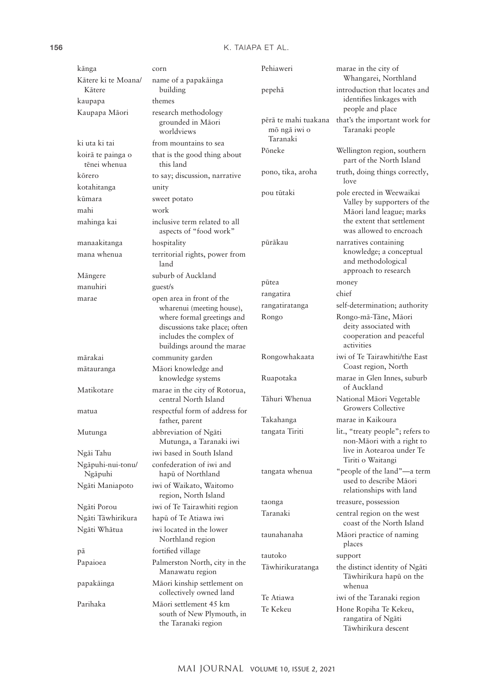| kānga                             | corn                                                                                                                 | Pehiaweri                                        | marae in the city of                                                  |
|-----------------------------------|----------------------------------------------------------------------------------------------------------------------|--------------------------------------------------|-----------------------------------------------------------------------|
| Kātere ki te Moana/<br>Kātere     | name of a papakāinga<br>building                                                                                     | pepehā                                           | Whangarei, Northland<br>introduction that locates and                 |
| kaupapa                           | themes                                                                                                               |                                                  | identifies linkages with                                              |
| Kaupapa Māori                     | research methodology                                                                                                 |                                                  | people and place                                                      |
|                                   | grounded in Māori<br>worldviews                                                                                      | pērā te mahi tuakana<br>mō ngā iwi o<br>Taranaki | that's the important work for<br>Taranaki people                      |
| ki uta ki tai                     | from mountains to sea                                                                                                | Pōneke                                           | Wellington region, southern                                           |
| koirā te painga o<br>tēnei whenua | that is the good thing about<br>this land                                                                            |                                                  | part of the North Island                                              |
| kōrero                            | to say; discussion, narrative                                                                                        | pono, tika, aroha                                | truth, doing things correctly,<br>love                                |
| kotahitanga                       | unity                                                                                                                | pou tūtaki                                       | pole erected in Weewaikai                                             |
| kūmara                            | sweet potato                                                                                                         |                                                  | Valley by supporters of the                                           |
| mahi                              | work                                                                                                                 |                                                  | Māori land league; marks                                              |
| mahinga kai                       | inclusive term related to all<br>aspects of "food work"                                                              |                                                  | the extent that settlement<br>was allowed to encroach                 |
| manaakitanga                      | hospitality                                                                                                          | pūrākau                                          | narratives containing                                                 |
| mana whenua                       | territorial rights, power from<br>land                                                                               |                                                  | knowledge; a conceptual<br>and methodological<br>approach to research |
| Mängere                           | suburb of Auckland                                                                                                   | pūtea                                            | money                                                                 |
| manuhiri                          | guest/s                                                                                                              | rangatira                                        | chief                                                                 |
| marae                             | open area in front of the                                                                                            | rangatiratanga                                   | self-determination; authority                                         |
|                                   | wharenui (meeting house),                                                                                            | Rongo                                            | Rongo-mā-Tāne, Māori                                                  |
|                                   | where formal greetings and<br>discussions take place; often<br>includes the complex of<br>buildings around the marae |                                                  | deity associated with<br>cooperation and peaceful<br>activities       |
| mārakai                           | community garden                                                                                                     | Rongowhakaata                                    | iwi of Te Tairawhiti/the East                                         |
| mātauranga                        | Māori knowledge and                                                                                                  |                                                  | Coast region, North                                                   |
| Matikotare                        | knowledge systems<br>marae in the city of Rotorua,                                                                   | Ruapotaka                                        | marae in Glen Innes, suburb<br>of Auckland                            |
|                                   | central North Island                                                                                                 | Tāhuri Whenua                                    | National Māori Vegetable<br><b>Growers Collective</b>                 |
| matua                             | respectful form of address for<br>father, parent                                                                     | Takahanga                                        | marae in Kaikoura                                                     |
| Mutunga                           | abbreviation of Ngāti<br>Mutunga, a Taranaki iwi                                                                     | tangata Tiriti                                   | lit., "treaty people"; refers to<br>non-Māori with a right to         |
| Ngāi Tahu                         | iwi based in South Island                                                                                            |                                                  | live in Aotearoa under Te                                             |
| Ngāpuhi-nui-tonu/                 | confederation of iwi and                                                                                             |                                                  | Tiriti o Waitangi                                                     |
| Ngāpuhi                           | hapū of Northland                                                                                                    | tangata whenua                                   | "people of the land"—a term<br>used to describe Māori                 |
| Ngāti Maniapoto                   | iwi of Waikato, Waitomo<br>region, North Island                                                                      |                                                  | relationships with land                                               |
| Ngāti Porou                       | iwi of Te Tairawhiti region                                                                                          | taonga<br>Taranaki                               | treasure, possession<br>central region on the west                    |
| Ngāti Tāwhirikura                 | hapū of Te Atiawa iwi                                                                                                |                                                  | coast of the North Island                                             |
| Ngāti Whātua                      | iwi located in the lower<br>Northland region                                                                         | taunahanaha                                      | Māori practice of naming<br>places                                    |
| pā                                | fortified village                                                                                                    | tautoko                                          | support                                                               |
| Papaioea                          | Palmerston North, city in the<br>Manawatu region                                                                     | Tāwhirikuratanga                                 | the distinct identity of Ngāti<br>Tāwhirikura hapū on the             |
| papakāinga                        | Māori kinship settlement on<br>collectively owned land                                                               |                                                  | whenua                                                                |
| Parihaka                          | Māori settlement 45 km                                                                                               | Te Atiawa                                        | iwi of the Taranaki region                                            |
|                                   | south of New Plymouth, in<br>the Taranaki region                                                                     | Te Kekeu                                         | Hone Ropiha Te Kekeu,<br>rangatira of Ngāti<br>Tāwhirikura descent    |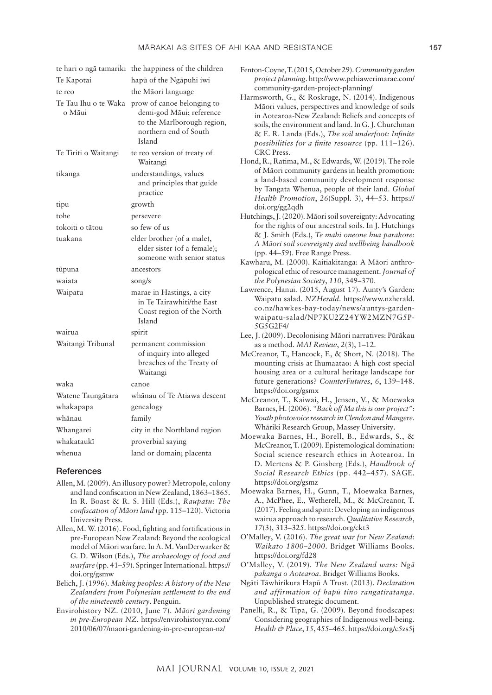| Te Kapotai           | te hari o ngā tamariki the happiness of the children<br>hapū of the Ngāpuhi iwi                                                              | Fenton-Coyne, T. (2015, October 29). Commu<br>project planning. http://www.pehiawerii                                                                                                                                                                        |  |
|----------------------|----------------------------------------------------------------------------------------------------------------------------------------------|--------------------------------------------------------------------------------------------------------------------------------------------------------------------------------------------------------------------------------------------------------------|--|
| te reo               | the Māori language                                                                                                                           | community-garden-project-planning/                                                                                                                                                                                                                           |  |
| o Māui               | Te Tau Ihu o te Waka prow of canoe belonging to<br>demi-god Māui; reference<br>to the Marlborough region,<br>northern end of South<br>Island | Harmsworth, G., & Roskruge, N. (2014).<br>Māori values, perspectives and knowle<br>in Aotearoa-New Zealand: Beliefs and<br>soils, the environment and land. In G. J. O<br>& E. R. Landa (Eds.), The soil underfo<br>possibilities for a finite resource (pp. |  |
| Te Tiriti o Waitangi | te reo version of treaty of<br>Waitangi                                                                                                      | CRC Press.<br>Hond, R., Ratima, M., & Edwards, W. (201)                                                                                                                                                                                                      |  |
| tikanga              | understandings, values<br>and principles that guide<br>practice                                                                              | of Māori community gardens in health<br>a land-based community developmen<br>by Tangata Whenua, people of their la<br>Health Promotion, 26(Suppl. 3), 44-.                                                                                                   |  |
| tipu                 | growth                                                                                                                                       | doi.org/gg2qdh                                                                                                                                                                                                                                               |  |
| tohe                 | persevere                                                                                                                                    | Hutchings, J. (2020). Māori soil sovereignty:                                                                                                                                                                                                                |  |
| tokoiti o tātou      | so few of us                                                                                                                                 | for the rights of our ancestral soils. In J.                                                                                                                                                                                                                 |  |
| tuakana              | elder brother (of a male),<br>elder sister (of a female);<br>someone with senior status                                                      | & J. Smith (Eds.), Te mahi oneone hud<br>A Māori soil sovereignty and wellbeing<br>(pp. 44–59). Free Range Press.<br>Kawharu, M. (2000). Kaitiakitanga: A Mā                                                                                                 |  |
| tūpuna               | ancestors                                                                                                                                    | pological ethic of resource management                                                                                                                                                                                                                       |  |
| waiata               | song/s                                                                                                                                       | the Polynesian Society, 110, 349–370.                                                                                                                                                                                                                        |  |
| Waipatu              | marae in Hastings, a city<br>in Te Tairawhiti/the East<br>Coast region of the North<br>Island                                                | Lawrence, Hanui. (2015, August 17). Aunt<br>Waipatu salad. NZHerald. https://www<br>co.nz/hawkes-bay-today/news/aunty<br>waipatu-salad/NP7KU2Z24YW2M<br>5G5G2F4/                                                                                             |  |
| wairua               | spirit                                                                                                                                       | Lee, J. (2009). Decolonising Māori narrative                                                                                                                                                                                                                 |  |
| Waitangi Tribunal    | permanent commission<br>of inquiry into alleged<br>breaches of the Treaty of<br>Waitangi                                                     | as a method. MAI Review, 2(3), 1-12.<br>McCreanor, T., Hancock, F., & Short, N. (<br>mounting crisis at Ihumaatao: A high o<br>housing area or a cultural heritage lan                                                                                       |  |
| waka                 | canoe                                                                                                                                        | future generations? CounterFutures, 6                                                                                                                                                                                                                        |  |
| Watene Taungātara    | whānau of Te Atiawa descent                                                                                                                  | https://doi.org/gsmx<br>McCreanor, T., Kaiwai, H., Jensen, V., &                                                                                                                                                                                             |  |
| whakapapa            | genealogy                                                                                                                                    | Barnes, H. (2006). "Back off Ma this is of                                                                                                                                                                                                                   |  |
| whānau               | family                                                                                                                                       | Youth photovoice research in Clendon an                                                                                                                                                                                                                      |  |
| Whangarei            | city in the Northland region                                                                                                                 | Whāriki Research Group, Massey Unive                                                                                                                                                                                                                         |  |
| whakataukī           | proverbial saying                                                                                                                            | Moewaka Barnes, H., Borell, B., Edwa<br>McCreanor, T. (2009). Epistemological d                                                                                                                                                                              |  |
| whenua               | land or domain; placenta                                                                                                                     | Social science research ethics in Ao                                                                                                                                                                                                                         |  |

#### **References**

- Allen, M. (2009). An illusory power? Metropole, colony and land confiscation in New Zealand, 1863–1865. In R. Boast & R. S. Hill (Eds.), *Raupatu: The confiscation of Māori land* (pp. 115–120). Victoria University Press.
- Allen, M. W. (2016). Food, fighting and fortifications in pre-European New Zealand: Beyond the ecological model of Māori warfare. In A. M. VanDerwarker & G. D. Wilson (Eds.), *The archaeology of food and warfare* (pp. 41–59). Springer International. [https://](https://doi.org/gsmw) [doi.org/gsmw](https://doi.org/gsmw)
- Belich, J. (1996). *Making peoples: A history of the New Zealanders from Polynesian settlement to the end of the nineteenth century*. Penguin.
- Envirohistory NZ. (2010, June 7). *Māori gardening in pre-European NZ*. [https://envirohistorynz.com/](https://envirohistorynz.com/2010/06/07/maori-gardening-in-pre-european-nz/) [2010/06/07/maori-gardening-in-pre-european-nz/](https://envirohistorynz.com/2010/06/07/maori-gardening-in-pre-european-nz/)
- Fenton-Coyne, T. (2015, October 29). *Community garden*  marae.com/
- **Indigenous** dge of soils concepts of Churchman & E. R. Landa (Eds.), *The soil underfoot: Infinite possibilities for a finite resource* (pp. 111–126).
- 9). The role promotion: at response and. Global *Health Promotion*, *26*(Suppl. 3), 44–53. [https://](https://doi.org/gg2qdh)
- Advocating Hutchings & J. Smith (Eds.), *Te mahi oneone hua parakore: A Māori soil sovereignty and wellbeing handbook*
- iori anthropological ethic of resource management. *Journal of*
- v's Garden: w.nzherald. vs-garden-IZN7G5P-
- es: Pūrākau
- 2018). The cost special hdscape for f<sub>1</sub>, 139–148.
- Moewaka  $\iota$ *ur* project": *Youth photovoice research in Clendon and Mangere*. ersity.
- $rds, S., &$ lomination: stearoa. In D. Mertens & P. Ginsberg (Eds.), *Handbook of Social Research Ethics* (pp. 442–457). SAGE. <https://doi.org/gsmz>
- Moewaka Barnes, H., Gunn, T., Moewaka Barnes, A., McPhee, E., Wetherell, M., & McCreanor, T. (2017). Feeling and spirit: Developing an indigenous wairua approach to research. *Qualitative Research*, *17*(3), 313–325.<https://doi.org/ckt3>
- O'Malley, V. (2016). *The great war for New Zealand: Waikato 1800–2000*. Bridget Williams Books. <https://doi.org/fd28>
- O'Malley, V. (2019). *The New Zealand wars: Ngā pakanga o Aotearoa*. Bridget Williams Books.
- Ngāti Tāwhirikura Hapū A Trust. (2013). *Declaration and affirmation of hapū tino rangatiratanga.*  Unpublished strategic document.
- Panelli, R., & Tipa, G. (2009). Beyond foodscapes: Considering geographies of Indigenous well-being. *Health & Place*, *15*, 455–465.<https://doi.org/c5zs5j>